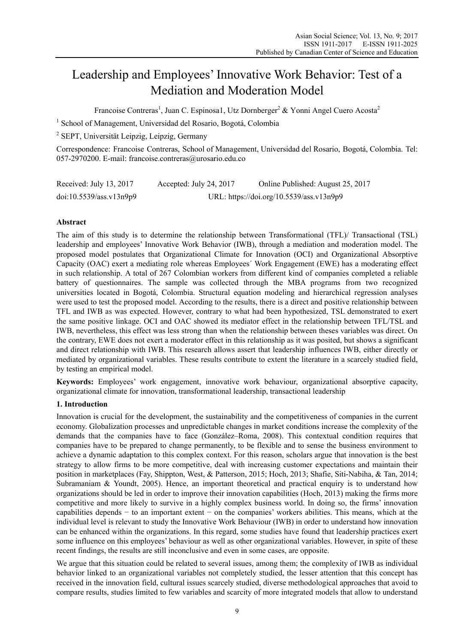# Leadership and Employees' Innovative Work Behavior: Test of a Mediation and Moderation Model

Francoise Contreras<sup>1</sup>, Juan C. Espinosa1, Utz Dornberger<sup>2</sup> & Yonni Angel Cuero Acosta<sup>2</sup>

<sup>1</sup> School of Management, Universidad del Rosario, Bogotá, Colombia

2 SEPT, Universität Leipzig, Leipzig, Germany

Correspondence: Francoise Contreras, School of Management, Universidad del Rosario, Bogotá, Colombia. Tel: 057-2970200. E-mail: francoise.contreras@urosario.edu.co

| Received: July 13, 2017 | Accepted: July 24, 2017 | Online Published: August 25, 2017        |
|-------------------------|-------------------------|------------------------------------------|
| doi:10.5539/ass.v13n9p9 |                         | URL: https://doi.org/10.5539/ass.v13n9p9 |

# **Abstract**

The aim of this study is to determine the relationship between Transformational (TFL)/ Transactional (TSL) leadership and employees' Innovative Work Behavior (IWB), through a mediation and moderation model. The proposed model postulates that Organizational Climate for Innovation (OCI) and Organizational Absorptive Capacity (OAC) exert a mediating role whereas Employees´ Work Engagement (EWE) has a moderating effect in such relationship. A total of 267 Colombian workers from different kind of companies completed a reliable battery of questionnaires. The sample was collected through the MBA programs from two recognized universities located in Bogotá, Colombia. Structural equation modeling and hierarchical regression analyses were used to test the proposed model. According to the results, there is a direct and positive relationship between TFL and IWB as was expected. However, contrary to what had been hypothesized, TSL demonstrated to exert the same positive linkage. OCI and OAC showed its mediator effect in the relationship between TFL/TSL and IWB, nevertheless, this effect was less strong than when the relationship between theses variables was direct. On the contrary, EWE does not exert a moderator effect in this relationship as it was posited, but shows a significant and direct relationship with IWB. This research allows assert that leadership influences IWB, either directly or mediated by organizational variables. These results contribute to extent the literature in a scarcely studied field, by testing an empirical model.

**Keywords:** Employees' work engagement, innovative work behaviour, organizational absorptive capacity, organizational climate for innovation, transformational leadership, transactional leadership

# **1. Introduction**

Innovation is crucial for the development, the sustainability and the competitiveness of companies in the current economy. Globalization processes and unpredictable changes in market conditions increase the complexity of the demands that the companies have to face (González–Roma, 2008). This contextual condition requires that companies have to be prepared to change permanently, to be flexible and to sense the business environment to achieve a dynamic adaptation to this complex context. For this reason, scholars argue that innovation is the best strategy to allow firms to be more competitive, deal with increasing customer expectations and maintain their position in marketplaces (Fay, Shippton, West, & Patterson, 2015; Hoch, 2013; Shafie, Siti-Nabiha, & Tan, 2014; Subramaniam & Youndt, 2005). Hence, an important theoretical and practical enquiry is to understand how organizations should be led in order to improve their innovation capabilities (Hoch, 2013) making the firms more competitive and more likely to survive in a highly complex business world. In doing so, the firms' innovation capabilities depends − to an important extent − on the companies' workers abilities. This means, which at the individual level is relevant to study the Innovative Work Behaviour (IWB) in order to understand how innovation can be enhanced within the organizations. In this regard, some studies have found that leadership practices exert some influence on this employees' behaviour as well as other organizational variables. However, in spite of these recent findings, the results are still inconclusive and even in some cases, are opposite.

We argue that this situation could be related to several issues, among them; the complexity of IWB as individual behavior linked to an organizational variables not completely studied, the lesser attention that this concept has received in the innovation field, cultural issues scarcely studied, diverse methodological approaches that avoid to compare results, studies limited to few variables and scarcity of more integrated models that allow to understand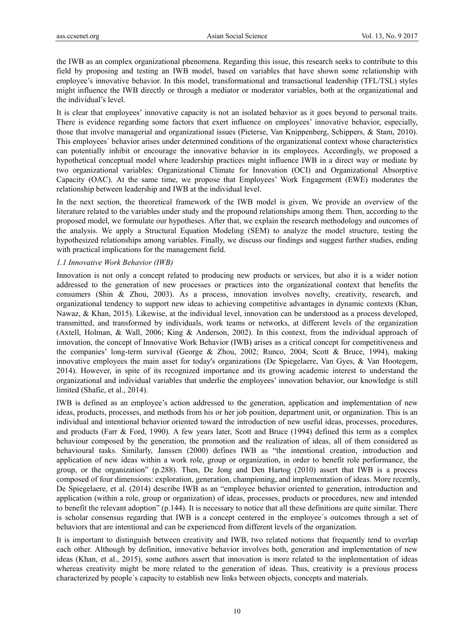the IWB as an complex organizational phenomena. Regarding this issue, this research seeks to contribute to this field by proposing and testing an IWB model, based on variables that have shown some relationship with employee's innovative behavior. In this model, transformational and transactional leadership (TFL/TSL) styles might influence the IWB directly or through a mediator or moderator variables, both at the organizational and the individual's level.

It is clear that employees' innovative capacity is not an isolated behavior as it goes beyond to personal traits. There is evidence regarding some factors that exert influence on employees' innovative behavior, especially, those that involve managerial and organizational issues (Pieterse, Van Knippenberg, Schippers, & Stam, 2010). This employees´ behavior arises under determined conditions of the organizational context whose characteristics can potentially inhibit or encourage the innovative behavior in its employees. Accordingly, we proposed a hypothetical conceptual model where leadership practices might influence IWB in a direct way or mediate by two organizational variables: Organizational Climate for Innovation (OCI) and Organizational Absorptive Capacity (OAC). At the same time, we propose that Employees' Work Engagement (EWE) moderates the relationship between leadership and IWB at the individual level.

In the next section, the theoretical framework of the IWB model is given. We provide an overview of the literature related to the variables under study and the propound relationships among them. Then, according to the proposed model, we formulate our hypotheses. After that, we explain the research methodology and outcomes of the analysis. We apply a Structural Equation Modeling (SEM) to analyze the model structure, testing the hypothesized relationships among variables. Finally, we discuss our findings and suggest further studies, ending with practical implications for the management field.

## *1.1 Innovative Work Behavior (IWB)*

Innovation is not only a concept related to producing new products or services, but also it is a wider notion addressed to the generation of new processes or practices into the organizational context that benefits the consumers (Shin & Zhou, 2003). As a process, innovation involves novelty, creativity, research, and organizational tendency to support new ideas to achieving competitive advantages in dynamic contexts (Khan, Nawaz, & Khan, 2015). Likewise, at the individual level, innovation can be understood as a process developed, transmitted, and transformed by individuals, work teams or networks, at different levels of the organization (Axtell, Holman, & Wall, 2006; King & Anderson, 2002). In this context, from the individual approach of innovation, the concept of Innovative Work Behavior (IWB) arises as a critical concept for competitiveness and the companies' long-term survival (George & Zhou, 2002; Runco, 2004; Scott & Bruce, 1994), making innovative employees the main asset for today's organizations (De Spiegelaere, Van Gyes, & Van Hootegem, 2014). However, in spite of its recognized importance and its growing academic interest to understand the organizational and individual variables that underlie the employees' innovation behavior, our knowledge is still limited (Shafie, et al., 2014).

IWB is defined as an employee's action addressed to the generation, application and implementation of new ideas, products, processes, and methods from his or her job position, department unit, or organization. This is an individual and intentional behavior oriented toward the introduction of new useful ideas, processes, procedures, and products (Farr & Ford, 1990). A few years later, Scott and Bruce (1994) defined this term as a complex behaviour composed by the generation, the promotion and the realization of ideas, all of them considered as behavioural tasks. Similarly, Janssen (2000) defines IWB as "the intentional creation, introduction and application of new ideas within a work role, group or organization, in order to benefit role performance, the group, or the organization" (p.288). Then, De Jong and Den Hartog (2010) assert that IWB is a process composed of four dimensions: exploration, generation, championing, and implementation of ideas. More recently, De Spiegelaere, et al. (2014) describe IWB as an "employee behavior oriented to generation, introduction and application (within a role, group or organization) of ideas, processes, products or procedures, new and intended to benefit the relevant adoption" (p.144). It is necessary to notice that all these definitions are quite similar. There is scholar consensus regarding that IWB is a concept centered in the employee´s outcomes through a set of behaviors that are intentional and can be experienced from different levels of the organization.

It is important to distinguish between creativity and IWB, two related notions that frequently tend to overlap each other. Although by definition, innovative behavior involves both, generation and implementation of new ideas (Khan, et al., 2015), some authors assert that innovation is more related to the implementation of ideas whereas creativity might be more related to the generation of ideas. Thus, creativity is a previous process characterized by people´s capacity to establish new links between objects, concepts and materials.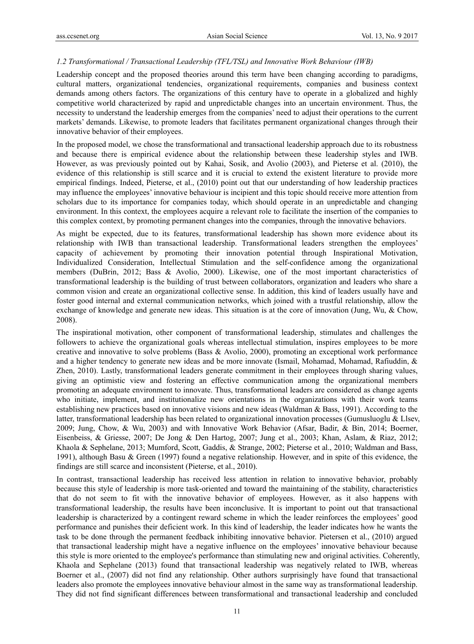#### *1.2 Transformational / Transactional Leadership (TFL/TSL) and Innovative Work Behaviour (IWB)*

Leadership concept and the proposed theories around this term have been changing according to paradigms, cultural matters, organizational tendencies, organizational requirements, companies and business context demands among others factors. The organizations of this century have to operate in a globalized and highly competitive world characterized by rapid and unpredictable changes into an uncertain environment. Thus, the necessity to understand the leadership emerges from the companies' need to adjust their operations to the current markets' demands. Likewise, to promote leaders that facilitates permanent organizational changes through their innovative behavior of their employees.

In the proposed model, we chose the transformational and transactional leadership approach due to its robustness and because there is empirical evidence about the relationship between these leadership styles and IWB. However, as was previously pointed out by Kahai, Sosik, and Avolio (2003), and Pieterse et al. (2010), the evidence of this relationship is still scarce and it is crucial to extend the existent literature to provide more empirical findings. Indeed, Pieterse, et al., (2010) point out that our understanding of how leadership practices may influence the employees' innovative behaviour is incipient and this topic should receive more attention from scholars due to its importance for companies today, which should operate in an unpredictable and changing environment. In this context, the employees acquire a relevant role to facilitate the insertion of the companies to this complex context, by promoting permanent changes into the companies, through the innovative behaviors.

As might be expected, due to its features, transformational leadership has shown more evidence about its relationship with IWB than transactional leadership. Transformational leaders strengthen the employees' capacity of achievement by promoting their innovation potential through Inspirational Motivation, Individualized Consideration, Intellectual Stimulation and the self-confidence among the organizational members (DuBrin, 2012; Bass & Avolio, 2000). Likewise, one of the most important characteristics of transformational leadership is the building of trust between collaborators, organization and leaders who share a common vision and create an organizational collective sense. In addition, this kind of leaders usually have and foster good internal and external communication networks, which joined with a trustful relationship, allow the exchange of knowledge and generate new ideas. This situation is at the core of innovation (Jung, Wu, & Chow, 2008).

The inspirational motivation, other component of transformational leadership, stimulates and challenges the followers to achieve the organizational goals whereas intellectual stimulation, inspires employees to be more creative and innovative to solve problems (Bass & Avolio, 2000), promoting an exceptional work performance and a higher tendency to generate new ideas and be more innovate (Ismail, Mohamad, Mohamad, Rafiuddin, & Zhen, 2010). Lastly, transformational leaders generate commitment in their employees through sharing values, giving an optimistic view and fostering an effective communication among the organizational members promoting an adequate environment to innovate. Thus, transformational leaders are considered as change agents who initiate, implement, and institutionalize new orientations in the organizations with their work teams establishing new practices based on innovative visions and new ideas (Waldman & Bass, 1991). According to the latter, transformational leadership has been related to organizational innovation processes (Gumusluoglu & Llsev, 2009; Jung, Chow, & Wu, 2003) and with Innovative Work Behavior (Afsar, Badir, & Bin, 2014; Boerner, Eisenbeiss, & Griesse, 2007; De Jong & Den Hartog, 2007; Jung et al., 2003; Khan, Aslam, & Riaz, 2012; Khaola & Sephelane, 2013; Mumford, Scott, Gaddis, & Strange, 2002; Pieterse et al., 2010; Waldman and Bass, 1991), although Basu & Green (1997) found a negative relationship. However, and in spite of this evidence, the findings are still scarce and inconsistent (Pieterse, et al., 2010).

In contrast, transactional leadership has received less attention in relation to innovative behavior, probably because this style of leadership is more task-oriented and toward the maintaining of the stability, characteristics that do not seem to fit with the innovative behavior of employees. However, as it also happens with transformational leadership, the results have been inconclusive. It is important to point out that transactional leadership is characterized by a contingent reward scheme in which the leader reinforces the employees' good performance and punishes their deficient work. In this kind of leadership, the leader indicates how he wants the task to be done through the permanent feedback inhibiting innovative behavior. Pietersen et al., (2010) argued that transactional leadership might have a negative influence on the employees' innovative behaviour because this style is more oriented to the employee's performance than stimulating new and original activities. Coherently, Khaola and Sephelane (2013) found that transactional leadership was negatively related to IWB, whereas Boerner et al., (2007) did not find any relationship. Other authors surprisingly have found that transactional leaders also promote the employees innovative behaviour almost in the same way as transformational leadership. They did not find significant differences between transformational and transactional leadership and concluded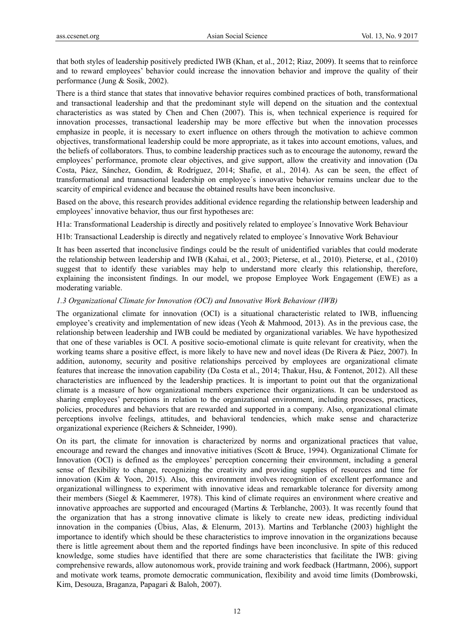that both styles of leadership positively predicted IWB (Khan, et al., 2012; Riaz, 2009). It seems that to reinforce and to reward employees' behavior could increase the innovation behavior and improve the quality of their performance (Jung & Sosik, 2002).

There is a third stance that states that innovative behavior requires combined practices of both, transformational and transactional leadership and that the predominant style will depend on the situation and the contextual characteristics as was stated by Chen and Chen (2007). This is, when technical experience is required for innovation processes, transactional leadership may be more effective but when the innovation processes emphasize in people, it is necessary to exert influence on others through the motivation to achieve common objectives, transformational leadership could be more appropriate, as it takes into account emotions, values, and the beliefs of collaborators. Thus, to combine leadership practices such as to encourage the autonomy, reward the employees' performance, promote clear objectives, and give support, allow the creativity and innovation (Da Costa, Páez, Sánchez, Gondim, & Rodríguez, 2014; Shafie, et al., 2014). As can be seen, the effect of transformational and transactional leadership on employee´s innovative behavior remains unclear due to the scarcity of empirical evidence and because the obtained results have been inconclusive.

Based on the above, this research provides additional evidence regarding the relationship between leadership and employees' innovative behavior, thus our first hypotheses are:

H1a: Transformational Leadership is directly and positively related to employee´s Innovative Work Behaviour

H1b: Transactional Leadership is directly and negatively related to employee´s Innovative Work Behaviour

It has been asserted that inconclusive findings could be the result of unidentified variables that could moderate the relationship between leadership and IWB (Kahai, et al., 2003; Pieterse, et al., 2010). Pieterse, et al., (2010) suggest that to identify these variables may help to understand more clearly this relationship, therefore, explaining the inconsistent findings. In our model, we propose Employee Work Engagement (EWE) as a moderating variable.

## *1.3 Organizational Climate for Innovation (OCI) and Innovative Work Behaviour (IWB)*

The organizational climate for innovation (OCI) is a situational characteristic related to IWB, influencing employee's creativity and implementation of new ideas (Yeoh & Mahmood, 2013). As in the previous case, the relationship between leadership and IWB could be mediated by organizational variables. We have hypothesized that one of these variables is OCI. A positive socio-emotional climate is quite relevant for creativity, when the working teams share a positive effect, is more likely to have new and novel ideas (De Rivera & Páez, 2007). In addition, autonomy, security and positive relationships perceived by employees are organizational climate features that increase the innovation capability (Da Costa et al., 2014; Thakur, Hsu, & Fontenot, 2012). All these characteristics are influenced by the leadership practices. It is important to point out that the organizational climate is a measure of how organizational members experience their organizations. It can be understood as sharing employees' perceptions in relation to the organizational environment, including processes, practices, policies, procedures and behaviors that are rewarded and supported in a company. Also, organizational climate perceptions involve feelings, attitudes, and behavioral tendencies, which make sense and characterize organizational experience (Reichers & Schneider, 1990).

On its part, the climate for innovation is characterized by norms and organizational practices that value, encourage and reward the changes and innovative initiatives (Scott & Bruce, 1994). Organizational Climate for Innovation (OCI) is defined as the employees' perception concerning their environment, including a general sense of flexibility to change, recognizing the creativity and providing supplies of resources and time for innovation (Kim & Yoon, 2015). Also, this environment involves recognition of excellent performance and organizational willingness to experiment with innovative ideas and remarkable tolerance for diversity among their members (Siegel & Kaemmerer, 1978). This kind of climate requires an environment where creative and innovative approaches are supported and encouraged (Martins & Terblanche, 2003). It was recently found that the organization that has a strong innovative climate is likely to create new ideas, predicting individual innovation in the companies (Übius, Alas, & Elenurm, 2013). Martins and Terblanche (2003) highlight the importance to identify which should be these characteristics to improve innovation in the organizations because there is little agreement about them and the reported findings have been inconclusive. In spite of this reduced knowledge, some studies have identified that there are some characteristics that facilitate the IWB: giving comprehensive rewards, allow autonomous work, provide training and work feedback (Hartmann, 2006), support and motivate work teams, promote democratic communication, flexibility and avoid time limits (Dombrowski, Kim, Desouza, Braganza, Papagari & Baloh, 2007).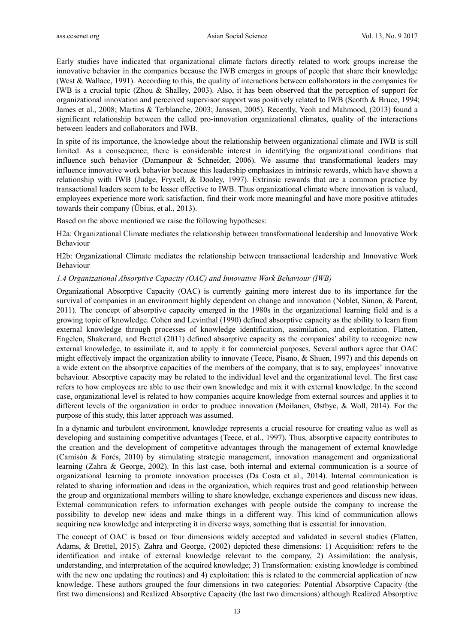Early studies have indicated that organizational climate factors directly related to work groups increase the innovative behavior in the companies because the IWB emerges in groups of people that share their knowledge (West & Wallace, 1991). According to this, the quality of interactions between collaborators in the companies for IWB is a crucial topic (Zhou & Shalley, 2003). Also, it has been observed that the perception of support for organizational innovation and perceived supervisor support was positively related to IWB (Scotth & Bruce, 1994; James et al., 2008; Martins & Terblanche, 2003; Janssen, 2005). Recently, Yeoh and Mahmood, (2013) found a significant relationship between the called pro-innovation organizational climates, quality of the interactions between leaders and collaborators and IWB.

In spite of its importance, the knowledge about the relationship between organizational climate and IWB is still limited. As a consequence, there is considerable interest in identifying the organizational conditions that influence such behavior (Damanpour  $\&$  Schneider, 2006). We assume that transformational leaders may influence innovative work behavior because this leadership emphasizes in intrinsic rewards, which have shown a relationship with IWB (Judge, Fryxell, & Dooley, 1997). Extrinsic rewards that are a common practice by transactional leaders seem to be lesser effective to IWB. Thus organizational climate where innovation is valued, employees experience more work satisfaction, find their work more meaningful and have more positive attitudes towards their company (Übius, et al., 2013).

Based on the above mentioned we raise the following hypotheses:

H2a: Organizational Climate mediates the relationship between transformational leadership and Innovative Work Behaviour

H2b: Organizational Climate mediates the relationship between transactional leadership and Innovative Work Behaviour

#### *1.4 Organizational Absorptive Capacity (OAC) and Innovative Work Behaviour (IWB)*

Organizational Absorptive Capacity (OAC) is currently gaining more interest due to its importance for the survival of companies in an environment highly dependent on change and innovation (Noblet, Simon, & Parent, 2011). The concept of absorptive capacity emerged in the 1980s in the organizational learning field and is a growing topic of knowledge. Cohen and Levinthal (1990) defined absorptive capacity as the ability to learn from external knowledge through processes of knowledge identification, assimilation, and exploitation. Flatten, Engelen, Shakerand, and Brettel (2011) defined absorptive capacity as the companies' ability to recognize new external knowledge, to assimilate it, and to apply it for commercial purposes. Several authors agree that OAC might effectively impact the organization ability to innovate (Teece, Pisano, & Shuen, 1997) and this depends on a wide extent on the absorptive capacities of the members of the company, that is to say, employees' innovative behaviour. Absorptive capacity may be related to the individual level and the organizational level. The first case refers to how employees are able to use their own knowledge and mix it with external knowledge. In the second case, organizational level is related to how companies acquire knowledge from external sources and applies it to different levels of the organization in order to produce innovation (Moilanen, Østbye, & Woll, 2014). For the purpose of this study, this latter approach was assumed.

In a dynamic and turbulent environment, knowledge represents a crucial resource for creating value as well as developing and sustaining competitive advantages (Teece, et al., 1997). Thus, absorptive capacity contributes to the creation and the development of competitive advantages through the management of external knowledge (Camisón & Forés, 2010) by stimulating strategic management, innovation management and organizational learning (Zahra & George, 2002). In this last case, both internal and external communication is a source of organizational learning to promote innovation processes (Da Costa et al., 2014). Internal communication is related to sharing information and ideas in the organization, which requires trust and good relationship between the group and organizational members willing to share knowledge, exchange experiences and discuss new ideas. External communication refers to information exchanges with people outside the company to increase the possibility to develop new ideas and make things in a different way. This kind of communication allows acquiring new knowledge and interpreting it in diverse ways, something that is essential for innovation.

The concept of OAC is based on four dimensions widely accepted and validated in several studies (Flatten, Adams, & Brettel, 2015). Zahra and George, (2002) depicted these dimensions: 1) Acquisition: refers to the identification and intake of external knowledge relevant to the company, 2) Assimilation: the analysis, understanding, and interpretation of the acquired knowledge; 3) Transformation: existing knowledge is combined with the new one updating the routines) and 4) exploitation: this is related to the commercial application of new knowledge. These authors grouped the four dimensions in two categories: Potential Absorptive Capacity (the first two dimensions) and Realized Absorptive Capacity (the last two dimensions) although Realized Absorptive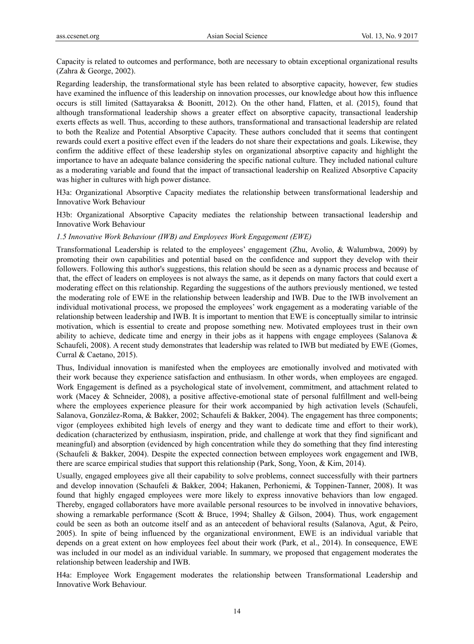Capacity is related to outcomes and performance, both are necessary to obtain exceptional organizational results (Zahra & George, 2002).

Regarding leadership, the transformational style has been related to absorptive capacity, however, few studies have examined the influence of this leadership on innovation processes, our knowledge about how this influence occurs is still limited (Sattayaraksa & Boonitt, 2012). On the other hand, Flatten, et al. (2015), found that although transformational leadership shows a greater effect on absorptive capacity, transactional leadership exerts effects as well. Thus, according to these authors, transformational and transactional leadership are related to both the Realize and Potential Absorptive Capacity. These authors concluded that it seems that contingent rewards could exert a positive effect even if the leaders do not share their expectations and goals. Likewise, they confirm the additive effect of these leadership styles on organizational absorptive capacity and highlight the importance to have an adequate balance considering the specific national culture. They included national culture as a moderating variable and found that the impact of transactional leadership on Realized Absorptive Capacity was higher in cultures with high power distance.

H3a: Organizational Absorptive Capacity mediates the relationship between transformational leadership and Innovative Work Behaviour

H3b: Organizational Absorptive Capacity mediates the relationship between transactional leadership and Innovative Work Behaviour

#### *1.5 Innovative Work Behaviour (IWB) and Employees Work Engagement (EWE)*

Transformational Leadership is related to the employees' engagement (Zhu, Avolio, & Walumbwa, 2009) by promoting their own capabilities and potential based on the confidence and support they develop with their followers. Following this author's suggestions, this relation should be seen as a dynamic process and because of that, the effect of leaders on employees is not always the same, as it depends on many factors that could exert a moderating effect on this relationship. Regarding the suggestions of the authors previously mentioned, we tested the moderating role of EWE in the relationship between leadership and IWB. Due to the IWB involvement an individual motivational process, we proposed the employees' work engagement as a moderating variable of the relationship between leadership and IWB. It is important to mention that EWE is conceptually similar to intrinsic motivation, which is essential to create and propose something new. Motivated employees trust in their own ability to achieve, dedicate time and energy in their jobs as it happens with engage employees (Salanova & Schaufeli, 2008). A recent study demonstrates that leadership was related to IWB but mediated by EWE (Gomes, Curral & Caetano, 2015).

Thus, Individual innovation is manifested when the employees are emotionally involved and motivated with their work because they experience satisfaction and enthusiasm. In other words, when employees are engaged. Work Engagement is defined as a psychological state of involvement, commitment, and attachment related to work (Macey & Schneider, 2008), a positive affective-emotional state of personal fulfillment and well-being where the employees experience pleasure for their work accompanied by high activation levels (Schaufeli, Salanova, González-Roma, & Bakker, 2002; Schaufeli & Bakker, 2004). The engagement has three components; vigor (employees exhibited high levels of energy and they want to dedicate time and effort to their work), dedication (characterized by enthusiasm, inspiration, pride, and challenge at work that they find significant and meaningful) and absorption (evidenced by high concentration while they do something that they find interesting (Schaufeli & Bakker, 2004). Despite the expected connection between employees work engagement and IWB, there are scarce empirical studies that support this relationship (Park, Song, Yoon, & Kim, 2014).

Usually, engaged employees give all their capability to solve problems, connect successfully with their partners and develop innovation (Schaufeli & Bakker, 2004; Hakanen, Perhoniemi, & Toppinen-Tanner, 2008). It was found that highly engaged employees were more likely to express innovative behaviors than low engaged. Thereby, engaged collaborators have more available personal resources to be involved in innovative behaviors, showing a remarkable performance (Scott & Bruce, 1994; Shalley & Gilson, 2004). Thus, work engagement could be seen as both an outcome itself and as an antecedent of behavioral results (Salanova, Agut, & Peiro, 2005). In spite of being influenced by the organizational environment, EWE is an individual variable that depends on a great extent on how employees feel about their work (Park, et al., 2014). In consequence, EWE was included in our model as an individual variable. In summary, we proposed that engagement moderates the relationship between leadership and IWB.

H4a: Employee Work Engagement moderates the relationship between Transformational Leadership and Innovative Work Behaviour.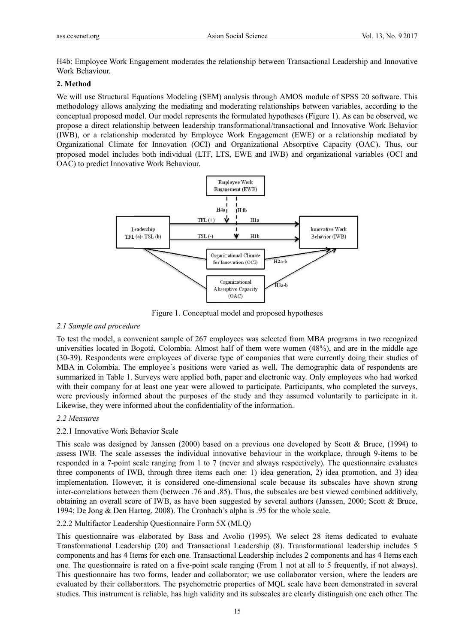H4b: Employee Work Engagement moderates the relationship between Transactional Leadership and Innovative Work Behaviour.

## 2. Method

We will use Structural Equations Modeling (SEM) analysis through AMOS module of SPSS 20 software. This methodology allows analyzing the mediating and moderating relationships between variables, according to the conceptual proposed model. Our model represents the formulated hypotheses (Figure 1). As can be observed, we propose a direct relationship between leadership transformational/transactional and Innovative Work Behavior (IWB), or a relationship moderated by Employee Work Engagement (EWE) or a relationship mediated by Organizational Climate for Innovation (OCI) and Organizational Absorptive Capacity (OAC). Thus, our proposed model includes both individual (LTF, LTS, EWE and IWB) and organizational variables (OCI and OAC) to predict Innovative Work Behaviour.



Figure 1. Conceptual model and proposed hypotheses

## 2.1 Sample and procedure

To test the model, a convenient sample of 267 employees was selected from MBA programs in two recognized universities located in Bogotá, Colombia. Almost half of them were women (48%), and are in the middle age (30-39). Respondents were employees of diverse type of companies that were currently doing their studies of MBA in Colombia. The employee's positions were varied as well. The demographic data of respondents are summarized in Table 1. Surveys were applied both, paper and electronic way. Only employees who had worked with their company for at least one year were allowed to participate. Participants, who completed the surveys, were previously informed about the purposes of the study and they assumed voluntarily to participate in it. Likewise, they were informed about the confidentiality of the information.

# 2.2 Measures

#### 2.2.1 Innovative Work Behavior Scale

This scale was designed by Janssen (2000) based on a previous one developed by Scott & Bruce, (1994) to assess IWB. The scale assesses the individual innovative behaviour in the workplace, through 9-items to be responded in a 7-point scale ranging from 1 to 7 (never and always respectively). The questionnaire evaluates three components of IWB, through three items each one: 1) idea generation, 2) idea promotion, and 3) idea implementation. However, it is considered one-dimensional scale because its subscales have shown strong inter-correlations between them (between .76 and .85). Thus, the subscales are best viewed combined additively, obtaining an overall score of IWB, as have been suggested by several authors (Janssen, 2000; Scott & Bruce, 1994; De Jong & Den Hartog, 2008). The Cronbach's alpha is .95 for the whole scale.

# 2.2.2 Multifactor Leadership Questionnaire Form 5X (MLQ)

This questionnaire was elaborated by Bass and Avolio (1995). We select 28 items dedicated to evaluate Transformational Leadership (20) and Transactional Leadership (8). Transformational leadership includes 5 components and has 4 Items for each one. Transactional Leadership includes 2 components and has 4 Items each one. The questionnaire is rated on a five-point scale ranging (From 1 not at all to 5 frequently, if not always). This questionnaire has two forms, leader and collaborator; we use collaborator version, where the leaders are evaluated by their collaborators. The psychometric properties of MOL scale have been demonstrated in several studies. This instrument is reliable, has high validity and its subscales are clearly distinguish one each other. The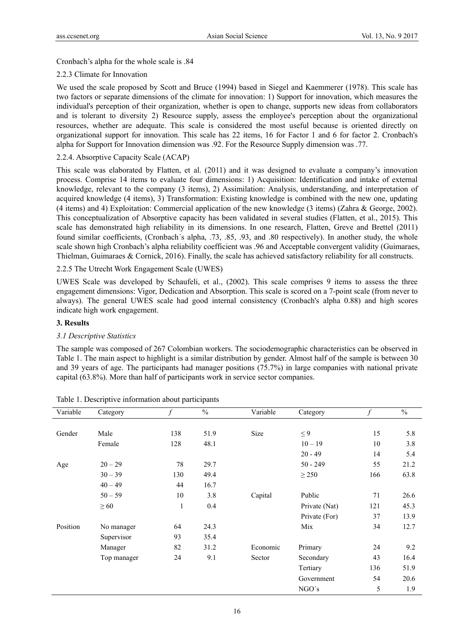Cronbach's alpha for the whole scale is .84

# 2.2.3 Climate for Innovation

We used the scale proposed by Scott and Bruce (1994) based in Siegel and Kaemmerer (1978). This scale has two factors or separate dimensions of the climate for innovation: 1) Support for innovation, which measures the individual's perception of their organization, whether is open to change, supports new ideas from collaborators and is tolerant to diversity 2) Resource supply, assess the employee's perception about the organizational resources, whether are adequate. This scale is considered the most useful because is oriented directly on organizational support for innovation. This scale has 22 items, 16 for Factor 1 and 6 for factor 2. Cronbach's alpha for Support for Innovation dimension was .92. For the Resource Supply dimension was .77.

# 2.2.4. Absorptive Capacity Scale (ACAP)

This scale was elaborated by Flatten, et al. (2011) and it was designed to evaluate a company's innovation process. Comprise 14 items to evaluate four dimensions: 1) Acquisition: Identification and intake of external knowledge, relevant to the company (3 items), 2) Assimilation: Analysis, understanding, and interpretation of acquired knowledge (4 items), 3) Transformation: Existing knowledge is combined with the new one, updating (4 items) and 4) Exploitation: Commercial application of the new knowledge (3 items) (Zahra & George, 2002). This conceptualization of Absorptive capacity has been validated in several studies (Flatten, et al., 2015). This scale has demonstrated high reliability in its dimensions. In one research, Flatten, Greve and Brettel (2011) found similar coefficients, (Cronbach´s alpha, .73, .85, .93, and .80 respectively). In another study, the whole scale shown high Cronbach's alpha reliability coefficient was .96 and Acceptable convergent validity (Guimaraes, Thielman, Guimaraes & Cornick, 2016). Finally, the scale has achieved satisfactory reliability for all constructs.

2.2.5 The Utrecht Work Engagement Scale (UWES)

UWES Scale was developed by Schaufeli, et al., (2002). This scale comprises 9 items to assess the three engagement dimensions: Vigor, Dedication and Absorption. This scale is scored on a 7-point scale (from never to always). The general UWES scale had good internal consistency (Cronbach's alpha 0.88) and high scores indicate high work engagement.

# **3. Results**

# *3.1 Descriptive Statistics*

The sample was composed of 267 Colombian workers. The sociodemographic characteristics can be observed in Table 1. The main aspect to highlight is a similar distribution by gender. Almost half of the sample is between 30 and 39 years of age. The participants had manager positions (75.7%) in large companies with national private capital (63.8%). More than half of participants work in service sector companies.

| Variable | Category    | $\boldsymbol{f}$ | $\%$ | Variable | Category      | $\boldsymbol{f}$ | $\%$ |
|----------|-------------|------------------|------|----------|---------------|------------------|------|
|          |             |                  |      |          |               |                  |      |
| Gender   | Male        | 138              | 51.9 | Size     | $\leq 9$      | 15               | 5.8  |
|          | Female      | 128              | 48.1 |          | $10 - 19$     | 10               | 3.8  |
|          |             |                  |      |          | $20 - 49$     | 14               | 5.4  |
| Age      | $20 - 29$   | 78               | 29.7 |          | $50 - 249$    | 55               | 21.2 |
|          | $30 - 39$   | 130              | 49.4 |          | $\geq$ 250    | 166              | 63.8 |
|          | $40 - 49$   | 44               | 16.7 |          |               |                  |      |
|          | $50 - 59$   | 10               | 3.8  | Capital  | Public        | 71               | 26.6 |
|          | $\geq 60$   | $\mathbf{1}$     | 0.4  |          | Private (Nat) | 121              | 45.3 |
|          |             |                  |      |          | Private (For) | 37               | 13.9 |
| Position | No manager  | 64               | 24.3 |          | Mix           | 34               | 12.7 |
|          | Supervisor  | 93               | 35.4 |          |               |                  |      |
|          | Manager     | 82               | 31.2 | Economic | Primary       | 24               | 9.2  |
|          | Top manager | 24               | 9.1  | Sector   | Secondary     | 43               | 16.4 |
|          |             |                  |      |          | Tertiary      | 136              | 51.9 |
|          |             |                  |      |          | Government    | 54               | 20.6 |
|          |             |                  |      |          | NGO's         | 5                | 1.9  |

| Table 1. Descriptive information about participants |  |  |
|-----------------------------------------------------|--|--|
|-----------------------------------------------------|--|--|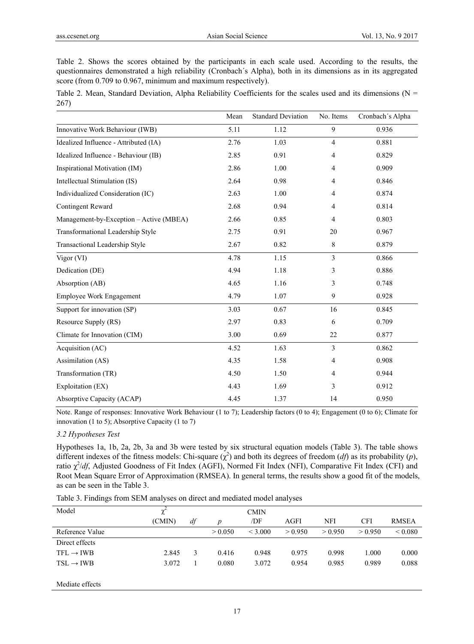Table 2. Shows the scores obtained by the participants in each scale used. According to the results, the questionnaires demonstrated a high reliability (Cronbach´s Alpha), both in its dimensions as in its aggregated score (from 0.709 to 0.967, minimum and maximum respectively).

Table 2. Mean, Standard Deviation, Alpha Reliability Coefficients for the scales used and its dimensions ( $N =$ 267)

|                                         | Mean | <b>Standard Deviation</b> | No. Items      | Cronbach's Alpha |
|-----------------------------------------|------|---------------------------|----------------|------------------|
| Innovative Work Behaviour (IWB)         | 5.11 | 1.12                      | 9              | 0.936            |
| Idealized Influence - Attributed (IA)   | 2.76 | 1.03                      | $\overline{4}$ | 0.881            |
| Idealized Influence - Behaviour (IB)    | 2.85 | 0.91                      | $\overline{4}$ | 0.829            |
| Inspirational Motivation (IM)           | 2.86 | 1.00                      | $\overline{4}$ | 0.909            |
| Intellectual Stimulation (IS)           | 2.64 | 0.98                      | $\overline{4}$ | 0.846            |
| Individualized Consideration (IC)       | 2.63 | 1.00                      | $\overline{4}$ | 0.874            |
| Contingent Reward                       | 2.68 | 0.94                      | $\overline{4}$ | 0.814            |
| Management-by-Exception – Active (MBEA) | 2.66 | 0.85                      | $\overline{4}$ | 0.803            |
| Transformational Leadership Style       | 2.75 | 0.91                      | 20             | 0.967            |
| Transactional Leadership Style          | 2.67 | 0.82                      | 8              | 0.879            |
| Vigor (VI)                              | 4.78 | 1.15                      | $\mathfrak{Z}$ | 0.866            |
| Dedication (DE)                         | 4.94 | 1.18                      | 3              | 0.886            |
| Absorption (AB)                         | 4.65 | 1.16                      | 3              | 0.748            |
| Employee Work Engagement                | 4.79 | 1.07                      | 9              | 0.928            |
| Support for innovation (SP)             | 3.03 | 0.67                      | 16             | 0.845            |
| Resource Supply (RS)                    | 2.97 | 0.83                      | 6              | 0.709            |
| Climate for Innovation (CIM)            | 3.00 | 0.69                      | 22             | 0.877            |
| Acquisition (AC)                        | 4.52 | 1.63                      | $\mathfrak{Z}$ | 0.862            |
| Assimilation (AS)                       | 4.35 | 1.58                      | $\overline{4}$ | 0.908            |
| Transformation (TR)                     | 4.50 | 1.50                      | $\overline{4}$ | 0.944            |
| Exploitation (EX)                       | 4.43 | 1.69                      | 3              | 0.912            |
| Absorptive Capacity (ACAP)              | 4.45 | 1.37                      | 14             | 0.950            |

Note. Range of responses: Innovative Work Behaviour (1 to 7); Leadership factors (0 to 4); Engagement (0 to 6); Climate for innovation (1 to 5); Absorptive Capacity (1 to 7)

# *3.2 Hypotheses Test*

Hypotheses 1a, 1b, 2a, 2b, 3a and 3b were tested by six structural equation models (Table 3). The table shows different indexes of the fitness models: Chi-square  $(\chi^2)$  and both its degrees of freedom (*df*) as its probability (*p*), ratio χ 2 /*df*, Adjusted Goodness of Fit Index (AGFI), Normed Fit Index (NFI), Comparative Fit Index (CFI) and Root Mean Square Error of Approximation (RMSEA). In general terms, the results show a good fit of the models, as can be seen in the Table 3.

Table 3. Findings from SEM analyses on direct and mediated model analyses

| Model                 |        |    |                  | CMIN      |         |            |            |                   |
|-----------------------|--------|----|------------------|-----------|---------|------------|------------|-------------------|
|                       | (CMIN) | df | $\boldsymbol{D}$ | /DF       | AGFI    | <b>NFI</b> | <b>CFI</b> | <b>RMSEA</b>      |
| Reference Value       |        |    | > 0.050          | $<$ 3.000 | > 0.950 | > 0.950    | > 0.950    | ${}_{\leq 0.080}$ |
| Direct effects        |        |    |                  |           |         |            |            |                   |
| $TFL \rightarrow IWB$ | 2.845  | 3  | 0.416            | 0.948     | 0.975   | 0.998      | 1.000      | 0.000             |
| $TSL \rightarrow IWB$ | 3.072  |    | 0.080            | 3.072     | 0.954   | 0.985      | 0.989      | 0.088             |
|                       |        |    |                  |           |         |            |            |                   |

Mediate effects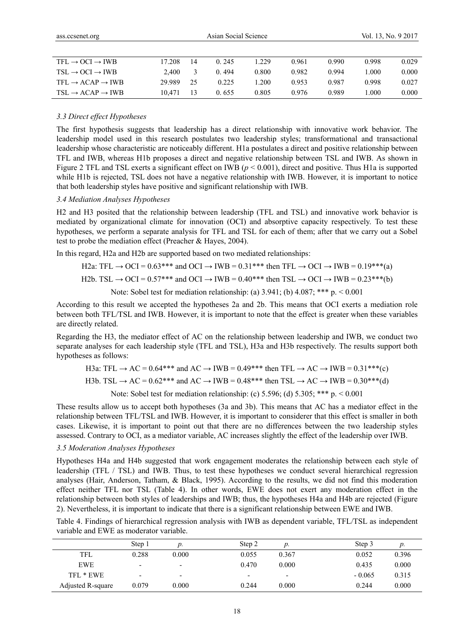| $TFL \rightarrow OCI \rightarrow IWB$  | 17.208 | 14             | 0.245 | 1.229 | 0.961 | 0.990 | 0.998 | 0.029 |
|----------------------------------------|--------|----------------|-------|-------|-------|-------|-------|-------|
| $TSL \rightarrow OCI \rightarrow IWB$  | 2.400  | $\mathfrak{z}$ | 0.494 | 0.800 | 0.982 | 0.994 | .000  | 0.000 |
| $TFL \rightarrow ACAP \rightarrow IWB$ | 29.989 | - 25           | 0.225 | .200  | 0.953 | 0.987 | 0.998 | 0.027 |
| $TSL \rightarrow ACAP \rightarrow IWB$ | 10.471 | 13             | 0.655 | 0.805 | 0.976 | 0.989 | .000  | 0.000 |

# *3.3 Direct effect Hypotheses*

The first hypothesis suggests that leadership has a direct relationship with innovative work behavior. The leadership model used in this research postulates two leadership styles; transformational and transactional leadership whose characteristic are noticeably different. H1a postulates a direct and positive relationship between TFL and IWB, whereas H1b proposes a direct and negative relationship between TSL and IWB. As shown in Figure 2 TFL and TSL exerts a significant effect on IWB (*p* < 0.001), direct and positive. Thus H1a is supported while H1b is rejected, TSL does not have a negative relationship with IWB. However, it is important to notice that both leadership styles have positive and significant relationship with IWB.

# *3.4 Mediation Analyses Hypotheses*

H2 and H3 posited that the relationship between leadership (TFL and TSL) and innovative work behavior is mediated by organizational climate for innovation (OCI) and absorptive capacity respectively. To test these hypotheses, we perform a separate analysis for TFL and TSL for each of them; after that we carry out a Sobel test to probe the mediation effect (Preacher & Hayes, 2004).

In this regard, H2a and H2b are supported based on two mediated relationships:

H2a: TFL → OCI = 0.63\*\*\* and OCI → IWB = 0.31\*\*\* then TFL → OCI → IWB = 0.19\*\*\*<sup>(a)</sup>  
H2b. TSL → OCI = 0.57\*\*\* and OCI → IWB = 0.40\*\*\* then TSL → OCI → IWB = 0.23\*\*\*<sup>(b)</sup>  
Note: Sobel test for mediation relationship: (a) 3.941; (b) 4.087; \*\*\* p. 
$$
\leq
$$
 0.001

According to this result we accepted the hypotheses 2a and 2b. This means that OCI exerts a mediation role between both TFL/TSL and IWB. However, it is important to note that the effect is greater when these variables are directly related.

Regarding the H3, the mediator effect of AC on the relationship between leadership and IWB, we conduct two separate analyses for each leadership style (TFL and TSL), H3a and H3b respectively. The results support both hypotheses as follows:

H3a: TFL → AC = 0.64\*\*\* and AC → IWB = 0.49\*\*\* then TFL → AC → IWB = 0.31\*\*\*(c) H3b. TSL → AC = 0.62\*\*\* and AC → IWB = 0.48\*\*\* then TSL → AC → IWB = 0.30\*\*\*(d) Note: Sobel test for mediation relationship: (c) 5.596; (d) 5.305; \*\*\* p. < 0.001

These results allow us to accept both hypotheses (3a and 3b). This means that AC has a mediator effect in the relationship between TFL/TSL and IWB. However, it is important to considerer that this effect is smaller in both cases. Likewise, it is important to point out that there are no differences between the two leadership styles assessed. Contrary to OCI, as a mediator variable, AC increases slightly the effect of the leadership over IWB.

## *3.5 Moderation Analyses Hypotheses*

Hypotheses H4a and H4b suggested that work engagement moderates the relationship between each style of leadership (TFL / TSL) and IWB. Thus, to test these hypotheses we conduct several hierarchical regression analyses (Hair, Anderson, Tatham, & Black, 1995). According to the results, we did not find this moderation effect neither TFL nor TSL (Table 4). In other words, EWE does not exert any moderation effect in the relationship between both styles of leaderships and IWB; thus, the hypotheses H4a and H4b are rejected (Figure 2). Nevertheless, it is important to indicate that there is a significant relationship between EWE and IWB.

Table 4. Findings of hierarchical regression analysis with IWB as dependent variable, TFL/TSL as independent variable and EWE as moderator variable.

|                   | Step 1                   |                          | Step 2                   | p.                       | Step 3   | p.    |
|-------------------|--------------------------|--------------------------|--------------------------|--------------------------|----------|-------|
| <b>TFL</b>        | 0.288                    | 0.000                    | 0.055                    | 0.367                    | 0.052    | 0.396 |
| <b>EWE</b>        | $\overline{\phantom{0}}$ | $\overline{\phantom{0}}$ | 0.470                    | 0.000                    | 0.435    | 0.000 |
| TFL * EWE         | $\overline{\phantom{0}}$ | -                        | $\overline{\phantom{0}}$ | $\overline{\phantom{0}}$ | $-0.065$ | 0.315 |
| Adjusted R-square | 0.079                    | 0.000                    | 0.244                    | 0.000                    | 0.244    | 0.000 |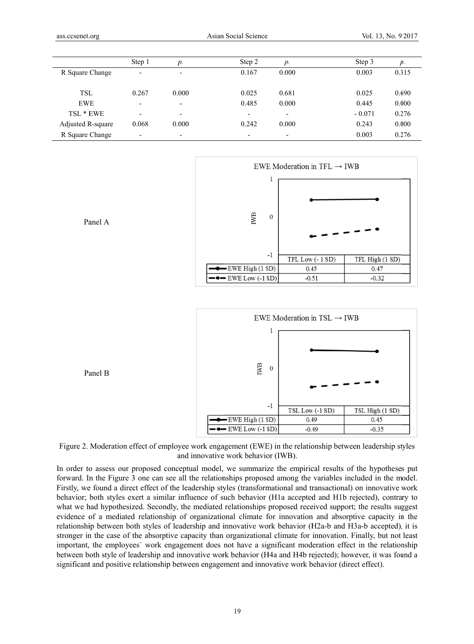|                   | Step 1                   | р.                       | Step 2                   | $p$ .                    | Step 3   | р.    |
|-------------------|--------------------------|--------------------------|--------------------------|--------------------------|----------|-------|
| R Square Change   | $\overline{\phantom{a}}$ | $\overline{\phantom{0}}$ | 0.167                    | 0.000                    | 0.003    | 0.315 |
|                   |                          |                          |                          |                          |          |       |
| <b>TSL</b>        | 0.267                    | 0.000                    | 0.025                    | 0.681                    | 0.025    | 0.690 |
| <b>EWE</b>        | -                        | $\overline{\phantom{0}}$ | 0.485                    | 0.000                    | 0.445    | 0.000 |
| TSL * EWE         | 1                        | $\overline{\phantom{0}}$ |                          | $\overline{\phantom{0}}$ | $-0.071$ | 0.276 |
| Adjusted R-square | 0.068                    | 0.000                    | 0.242                    | 0.000                    | 0.243    | 0.000 |
| R Square Change   | -                        | $\overline{\phantom{a}}$ | $\overline{\phantom{0}}$ | $\overline{\phantom{a}}$ | 0.003    | 0.276 |







Panel B

Figure 2. Moderation effect of employee work engagement (EWE) in the relationship between leadership styles and innovative work behavior (IWB).

In order to assess our proposed conceptual model, we summarize the empirical results of the hypotheses put forward. In the Figure 3 one can see all the relationships proposed among the variables included in the model. Firstly, we found a direct effect of the leadership styles (transformational and transactional) on innovative work behavior; both styles exert a similar influence of such behavior (H1a accepted and H1b rejected), contrary to what we had hypothesized. Secondly, the mediated relationships proposed received support; the results suggest evidence of a mediated relationship of organizational climate for innovation and absorptive capacity in the relationship between both styles of leadership and innovative work behavior (H2a-b and H3a-b accepted), it is stronger in the case of the absorptive capacity than organizational climate for innovation. Finally, but not least important, the employees' work engagement does not have a significant moderation effect in the relationship between both style of leadership and innovative work behavior (H4a and H4b rejected); however, it was found a significant and positive relationship between engagement and innovative work behavior (direct effect).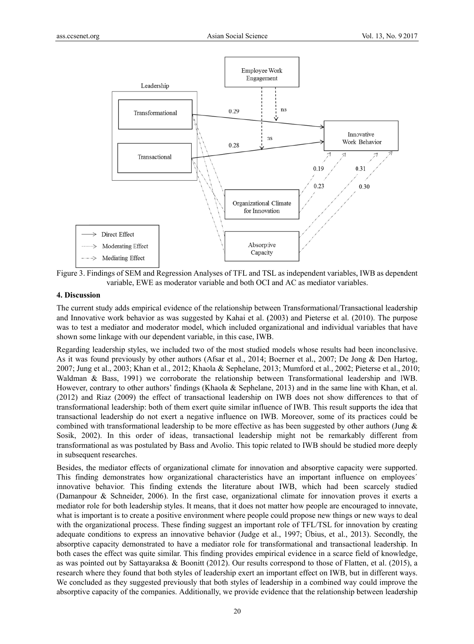

Figure 3. Findings of SEM and Regression Analyses of TFL and TSL as independent variables, IWB as dependent variable. EWE as moderator variable and both OCI and AC as mediator variables.

## 4. Discussion

The current study adds empirical evidence of the relationship between Transformational/Transactional leadership and Innovative work behavior as was suggested by Kahai et al. (2003) and Pieterse et al. (2010). The purpose was to test a mediator and moderator model, which included organizational and individual variables that have shown some linkage with our dependent variable, in this case, IWB.

Regarding leadership styles, we included two of the most studied models whose results had been inconclusive. As it was found previously by other authors (Afsar et al., 2014; Boerner et al., 2007; De Jong & Den Hartog, 2007; Jung et al., 2003; Khan et al., 2012; Khaola & Sephelane, 2013; Mumford et al., 2002; Pieterse et al., 2010; Waldman & Bass, 1991) we corroborate the relationship between Transformational leadership and IWB. However, contrary to other authors' findings (Khaola & Sephelane, 2013) and in the same line with Khan, et al. (2012) and Riaz (2009) the effect of transactional leadership on IWB does not show differences to that of transformational leadership: both of them exert quite similar influence of IWB. This result supports the idea that transactional leadership do not exert a negative influence on IWB. Moreover, some of its practices could be combined with transformational leadership to be more effective as has been suggested by other authors (Jung  $\&$ Sosik, 2002). In this order of ideas, transactional leadership might not be remarkably different from transformational as was postulated by Bass and Avolio. This topic related to IWB should be studied more deeply in subsequent researches.

Besides, the mediator effects of organizational climate for innovation and absorptive capacity were supported. This finding demonstrates how organizational characteristics have an important influence on employees' innovative behavior. This finding extends the literature about IWB, which had been scarcely studied (Damanpour & Schneider, 2006). In the first case, organizational climate for innovation proves it exerts a mediator role for both leadership styles. It means, that it does not matter how people are encouraged to innovate, what is important is to create a positive environment where people could propose new things or new ways to deal with the organizational process. These finding suggest an important role of TFL/TSL for innovation by creating adequate conditions to express an innovative behavior (Judge et al., 1997; Übius, et al., 2013). Secondly, the absorptive capacity demonstrated to have a mediator role for transformational and transactional leadership. In both cases the effect was quite similar. This finding provides empirical evidence in a scarce field of knowledge, as was pointed out by Sattayaraksa & Boonitt (2012). Our results correspond to those of Flatten, et al. (2015), a research where they found that both styles of leadership exert an important effect on IWB, but in different ways. We concluded as they suggested previously that both styles of leadership in a combined way could improve the absorptive capacity of the companies. Additionally, we provide evidence that the relationship between leadership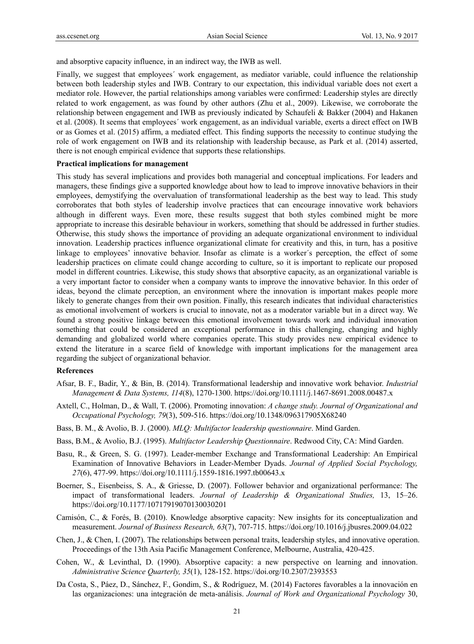and absorptive capacity influence, in an indirect way, the IWB as well.

Finally, we suggest that employees´ work engagement, as mediator variable, could influence the relationship between both leadership styles and IWB. Contrary to our expectation, this individual variable does not exert a mediator role. However, the partial relationships among variables were confirmed: Leadership styles are directly related to work engagement, as was found by other authors (Zhu et al., 2009). Likewise, we corroborate the relationship between engagement and IWB as previously indicated by Schaufeli & Bakker (2004) and Hakanen et al. (2008). It seems that employees´ work engagement, as an individual variable, exerts a direct effect on IWB or as Gomes et al. (2015) affirm, a mediated effect. This finding supports the necessity to continue studying the role of work engagement on IWB and its relationship with leadership because, as Park et al. (2014) asserted, there is not enough empirical evidence that supports these relationships.

## **Practical implications for management**

This study has several implications and provides both managerial and conceptual implications. For leaders and managers, these findings give a supported knowledge about how to lead to improve innovative behaviors in their employees, demystifying the overvaluation of transformational leadership as the best way to lead. This study corroborates that both styles of leadership involve practices that can encourage innovative work behaviors although in different ways. Even more, these results suggest that both styles combined might be more appropriate to increase this desirable behaviour in workers, something that should be addressed in further studies. Otherwise, this study shows the importance of providing an adequate organizational environment to individual innovation. Leadership practices influence organizational climate for creativity and this, in turn, has a positive linkage to employees' innovative behavior. Insofar as climate is a worker´s perception, the effect of some leadership practices on climate could change according to culture, so it is important to replicate our proposed model in different countries. Likewise, this study shows that absorptive capacity, as an organizational variable is a very important factor to consider when a company wants to improve the innovative behavior. In this order of ideas, beyond the climate perception, an environment where the innovation is important makes people more likely to generate changes from their own position. Finally, this research indicates that individual characteristics as emotional involvement of workers is crucial to innovate, not as a moderator variable but in a direct way. We found a strong positive linkage between this emotional involvement towards work and individual innovation something that could be considered an exceptional performance in this challenging, changing and highly demanding and globalized world where companies operate. This study provides new empirical evidence to extend the literature in a scarce field of knowledge with important implications for the management area regarding the subject of organizational behavior.

## **References**

- Afsar, B. F., Badir, Y., & Bin, B. (2014). Transformational leadership and innovative work behavior. *Industrial Management & Data Systems, 114*(8), 1270-1300. https://doi.org/10.1111/j.1467-8691.2008.00487.x
- Axtell, C., Holman, D., & Wall, T. (2006). Promoting innovation: *A change study. Journal of Organizational and Occupational Psychology, 79*(3), 509-516. https://doi.org/10.1348/096317905X68240
- Bass, B. M., & Avolio, B. J. (2000). *MLQ: Multifactor leadership questionnaire*. Mind Garden.
- Bass, B.M., & Avolio, B.J. (1995). *Multifactor Leadership Questionnaire*. Redwood City, CA: Mind Garden.
- Basu, R., & Green, S. G. (1997). Leader-member Exchange and Transformational Leadership: An Empirical Examination of Innovative Behaviors in Leader-Member Dyads. *Journal of Applied Social Psychology, 27*(6), 477-99. https://doi.org/10.1111/j.1559-1816.1997.tb00643.x
- Boerner, S., Eisenbeiss, S. A., & Griesse, D. (2007). Follower behavior and organizational performance: The impact of transformational leaders. *Journal of Leadership & Organizational Studies,* 13, 15–26. https://doi.org/10.1177/10717919070130030201
- Camisón, C., & Forés, B. (2010). Knowledge absorptive capacity: New insights for its conceptualization and measurement. *Journal of Business Research, 63*(7), 707-715. https://doi.org/10.1016/j.jbusres.2009.04.022
- Chen, J., & Chen, I. (2007). The relationships between personal traits, leadership styles, and innovative operation. Proceedings of the 13th Asia Pacific Management Conference, Melbourne, Australia, 420-425.
- Cohen, W., & Levinthal, D. (1990). Absorptive capacity: a new perspective on learning and innovation. *Administrative Science Quarterly, 35*(1), 128-152. https://doi.org/10.2307/2393553
- Da Costa, S., Páez, D., Sánchez, F., Gondim, S., & Rodríguez, M. (2014) Factores favorables a la innovación en las organizaciones: una integración de meta-análisis. *Journal of Work and Organizational Psychology* 30,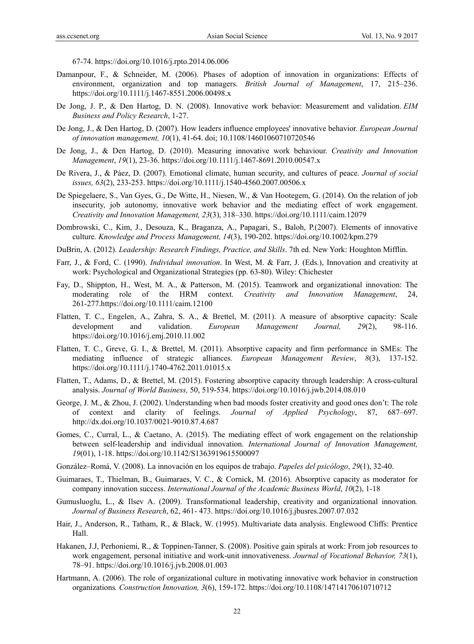67-74. https://doi.org/10.1016/j.rpto.2014.06.006

- Damanpour, F., & Schneider, M. (2006). Phases of adoption of innovation in organizations: Effects of environment, organization and top managers. *British Journal of Management*, 17, 215–236. https://doi.org/10.1111/j.1467-8551.2006.00498.x
- De Jong, J. P., & Den Hartog, D. N. (2008). Innovative work behavior: Measurement and validation. *EIM Business and Policy Research*, 1-27.
- De Jong, J., & Den Hartog, D. (2007). How leaders influence employees' innovative behavior. *European Journal of innovation management, 10*(1), 41-64. doi; 10.1108/14601060710720546
- De Jong, J., & Den Hartog, D. (2010). Measuring innovative work behaviour. *Creativity and Innovation Management*, *19*(1), 23-36. https://doi.org/10.1111/j.1467-8691.2010.00547.x
- De Rivera, J., & Páez, D. (2007). Emotional climate, human security, and cultures of peace. *Journal of social issues, 63*(2), 233-253. https://doi.org/10.1111/j.1540-4560.2007.00506.x
- De Spiegelaere, S., Van Gyes, G., De Witte, H., Niesen, W., & Van Hootegem, G. (2014). On the relation of job insecurity, job autonomy, innovative work behavior and the mediating effect of work engagement. *Creativity and Innovation Management, 23*(3), 318–330. https://doi.org/10.1111/caim.12079
- Dombrowski, C., Kim, J., Desouza, K., Braganza, A., Papagari, S., Baloh, P.(2007). Elements of innovative culture*. Knowledge and Process Management, 14*(3), 190-202. https://doi.org/10.1002/kpm.279
- DuBrin, A. (2012). *Leadership: Research Findings, Practice, and Skills*. 7th ed. New York: Houghton Mifflin.
- Farr, J., & Ford, C. (1990). *Individual innovation*. In West, M. & Farr, J. (Eds.), Innovation and creativity at work: Psychological and Organizational Strategies (pp. 63-80). Wiley: Chichester
- Fay, D., Shippton, H., West, M. A., & Patterson, M. (2015). Teamwork and organizational innovation: The moderating role of the HRM context. *Creativity and Innovation Management*, 24, 261-277.https://doi.org/10.1111/caim.12100
- Flatten, T. C., Engelen, A., Zahra, S. A., & Brettel, M. (2011). A measure of absorptive capacity: Scale development and validation. *European Management Journal, 29*(2), 98-116. https://doi.org/10.1016/j.emj.2010.11.002
- Flatten, T. C., Greve, G. I., & Brettel, M. (2011). Absorptive capacity and firm performance in SMEs: The mediating influence of strategic alliances. *European Management Review*, *8*(3), 137-152. https://doi.org/10.1111/j.1740-4762.2011.01015.x
- Flatten, T., Adams, D., & Brettel, M. (2015). Fostering absorptive capacity through leadership: A cross-cultural analysis. *Journal of World Business,* 50, 519-534. https://doi.org/10.1016/j.jwb.2014.08.010
- George, J. M., & Zhou, J. (2002). Understanding when bad moods foster creativity and good ones don't: The role of context and clarity of feelings. *Journal of Applied Psychology*, 87, 687–697. http://dx.doi.org/10.1037/0021-9010.87.4.687
- Gomes, C., Curral, L., & Caetano, A. (2015). The mediating effect of work engagement on the relationship between self-leadership and individual innovation. *International Journal of Innovation Management, 19*(01), 1-18. https://doi.org/10.1142/S1363919615500097
- González–Romá, V. (2008). La innovación en los equipos de trabajo. *Papeles del psicólogo*, *29*(1), 32-40.
- Guimaraes, T., Thielman, B., Guimaraes, V. C., & Cornick, M. (2016). Absorptive capacity as moderator for company innovation success. *International Journal of the Academic Business World*, *10*(2), 1-18
- Gumusluoglu, L., & Ilsev A. (2009). Transformational leadership, creativity and organizational innovation*. Journal of Business Research*, 62, 461- 473. https://doi.org/10.1016/j.jbusres.2007.07.032
- Hair, J., Anderson, R., Tatham, R., & Black, W. (1995). Multivariate data analysis. Englewood Cliffs: Prentice Hall.
- Hakanen, J.J, Perhoniemi, R., & Toppinen-Tanner, S. (2008). Positive gain spirals at work: From job resources to work engagement, personal initiative and work-unit innovativeness. *Journal of Vocational Behavior, 73*(1), 78–91. https://doi.org/10.1016/j.jvb.2008.01.003
- Hartmann, A. (2006). The role of organizational culture in motivating innovative work behavior in construction organizations*. Construction Innovation, 3*(6), 159-172. https://doi.org/10.1108/14714170610710712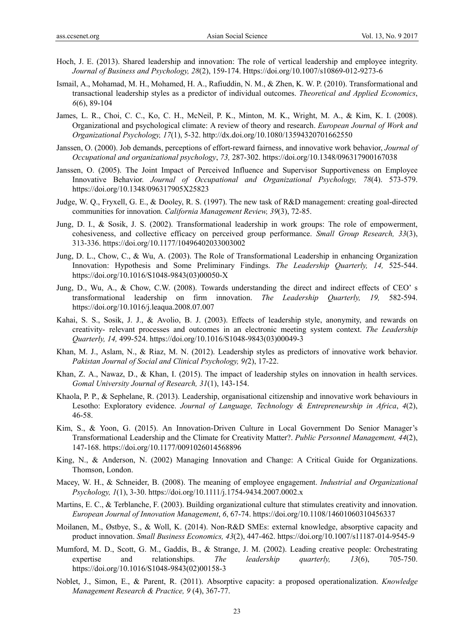- Hoch, J. E. (2013). Shared leadership and innovation: The role of vertical leadership and employee integrity. *Journal of Business and Psychology, 28*(2), 159-174. Https://doi.org/10.1007/s10869-012-9273-6
- Ismail, A., Mohamad, M. H., Mohamed, H. A., Rafiuddin, N. M., & Zhen, K. W. P. (2010). Transformational and transactional leadership styles as a predictor of individual outcomes. *Theoretical and Applied Economics*, *6*(6), 89-104
- James, L. R., Choi, C. C., Ko, C. H., McNeil, P. K., Minton, M. K., Wright, M. A., & Kim, K. I. (2008). Organizational and psychological climate: A review of theory and research. *European Journal of Work and Organizational Psychology, 17*(1), 5-32. http://dx.doi.org/10.1080/13594320701662550
- Janssen, O. (2000). Job demands, perceptions of effort-reward fairness, and innovative work behavior, *Journal of Occupational and organizational psychology*, *73,* 287-302. https://doi.org/10.1348/096317900167038
- Janssen, O. (2005). The Joint Impact of Perceived Influence and Supervisor Supportiveness on Employee Innovative Behavior. *Journal of Occupational and Organizational Psychology, 78*(4). 573-579. https://doi.org/10.1348/096317905X25823
- Judge, W. Q., Fryxell, G. E., & Dooley, R. S. (1997). The new task of R&D management: creating goal-directed communities for innovation*. California Management Review, 39*(3), 72-85.
- Jung, D. I., & Sosik, J. S. (2002). Transformational leadership in work groups: The role of empowerment, cohesiveness, and collective efficacy on perceived group performance. *Small Group Research, 33*(3), 313-336. https://doi.org/10.1177/10496402033003002
- Jung, D. L., Chow, C., & Wu, A. (2003). The Role of Transformational Leadership in enhancing Organization Innovation: Hypothesis and Some Preliminary Findings. *The Leadership Quarterly, 14,* 525-544. https://doi.org/10.1016/S1048-9843(03)00050-X
- Jung, D., Wu, A., & Chow, C.W. (2008). Towards understanding the direct and indirect effects of CEO' s transformational leadership on firm innovation. *The Leadership Quarterly, 19,* 582-594. https://doi.org/10.1016/j.leaqua.2008.07.007
- Kahai, S. S., Sosik, J. J., & Avolio, B. J. (2003). Effects of leadership style, anonymity, and rewards on creativity- relevant processes and outcomes in an electronic meeting system context. *The Leadership Quarterly, 14,* 499-524. https://doi.org/10.1016/S1048-9843(03)00049-3
- Khan, M. J., Aslam, N., & Riaz, M. N. (2012). Leadership styles as predictors of innovative work behavior. *Pakistan Journal of Social and Clinical Psychology, 9(*2), 17-22.
- Khan, Z. A., Nawaz, D., & Khan, I. (2015). The impact of leadership styles on innovation in health services. *Gomal University Journal of Research, 31*(1), 143-154.
- Khaola, P. P., & Sephelane, R. (2013). Leadership, organisational citizenship and innovative work behaviours in Lesotho: Exploratory evidence. *Journal of Language, Technology & Entrepreneurship in Africa*, *4*(2), 46-58.
- Kim, S., & Yoon, G. (2015). An Innovation-Driven Culture in Local Government Do Senior Manager's Transformational Leadership and the Climate for Creativity Matter?. *Public Personnel Management, 44*(2), 147-168. https://doi.org/10.1177/0091026014568896
- King, N., & Anderson, N. (2002) Managing Innovation and Change: A Critical Guide for Organizations. Thomson, London.
- Macey, W. H., & Schneider, B. (2008). The meaning of employee engagement. *Industrial and Organizational Psychology, 1*(1), 3-30. https://doi.org/10.1111/j.1754-9434.2007.0002.x
- Martins, E. C., & Terblanche, F. (2003). Building organizational culture that stimulates creativity and innovation. *European Journal of Innovation Management*, *6*, 67-74. https://doi.org/10.1108/14601060310456337
- Moilanen, M., Østbye, S., & Woll, K. (2014). Non-R&D SMEs: external knowledge, absorptive capacity and product innovation. *Small Business Economics, 43*(2), 447-462. https://doi.org/10.1007/s11187-014-9545-9
- Mumford, M. D., Scott, G. M., Gaddis, B., & Strange, J. M. (2002). Leading creative people: Orchestrating expertise and relationships. *The leadership quarterly, 13*(6), 705-750. https://doi.org/10.1016/S1048-9843(02)00158-3
- Noblet, J., Simon, E., & Parent, R. (2011). Absorptive capacity: a proposed operationalization. *Knowledge Management Research & Practice, 9* (4), 367-77.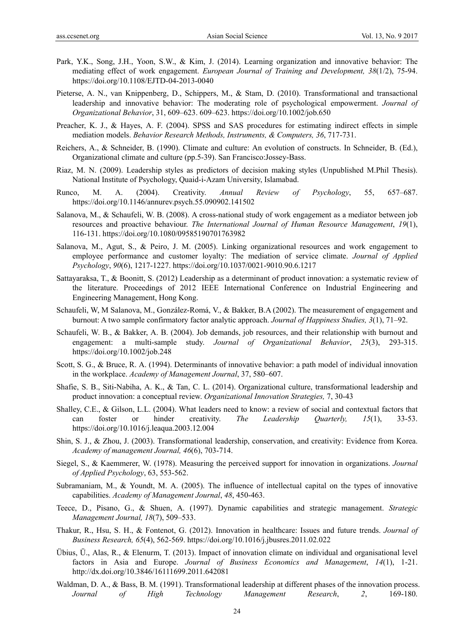- Park, Y.K., Song, J.H., Yoon, S.W., & Kim, J. (2014). Learning organization and innovative behavior: The mediating effect of work engagement. *European Journal of Training and Development, 38*(1/2), 75-94. https://doi.org/10.1108/EJTD-04-2013-0040
- Pieterse, A. N., van Knippenberg, D., Schippers, M., & Stam, D. (2010). Transformational and transactional leadership and innovative behavior: The moderating role of psychological empowerment. *Journal of Organizational Behavior*, 31, 609–623. 609–623. https://doi.org/10.1002/job.650
- Preacher, K. J., & Hayes, A. F. (2004). SPSS and SAS procedures for estimating indirect effects in simple mediation models. *Behavior Research Methods, Instruments, & Computers, 36*, 717-731.
- Reichers, A., & Schneider, B. (1990). Climate and culture: An evolution of constructs. In Schneider, B. (Ed.), Organizational climate and culture (pp.5-39). San Francisco:Jossey-Bass.
- Riaz, M. N. (2009). Leadership styles as predictors of decision making styles (Unpublished M.Phil Thesis). National Institute of Psychology, Quaid-i-Azam University, Islamabad.
- Runco, M. A. (2004). Creativity. *Annual Review of Psychology*, 55, 657–687. https://doi.org/10.1146/annurev.psych.55.090902.141502
- Salanova, M., & Schaufeli, W. B. (2008). A cross-national study of work engagement as a mediator between job resources and proactive behaviour. *The International Journal of Human Resource Management*, *19*(1), 116-131. https://doi.org/10.1080/09585190701763982
- Salanova, M., Agut, S., & Peiro, J. M. (2005). Linking organizational resources and work engagement to employee performance and customer loyalty: The mediation of service climate. *Journal of Applied Psychology*, *90*(6), 1217-1227. https://doi.org/10.1037/0021-9010.90.6.1217
- Sattayaraksa, T., & Boonitt, S. (2012) Leadership as a determinant of product innovation: a systematic review of the literature. Proceedings of 2012 IEEE International Conference on Industrial Engineering and Engineering Management, Hong Kong.
- Schaufeli, W, M Salanova, M., González-Romá, V., & Bakker, B.A (2002). The measurement of engagement and burnout: A two sample confirmatory factor analytic approach. *Journal of Happiness Studies, 3*(1), 71–92.
- Schaufeli, W. B., & Bakker, A. B. (2004). Job demands, job resources, and their relationship with burnout and engagement: a multi-sample study. *Journal of Organizational Behavior*, *25*(3), 293-315. https://doi.org/10.1002/job.248
- Scott, S. G., & Bruce, R. A. (1994). Determinants of innovative behavior: a path model of individual innovation in the workplace. *Academy of Management Journal*, 37, 580–607.
- Shafie, S. B., Siti-Nabiha, A. K., & Tan, C. L. (2014). Organizational culture, transformational leadership and product innovation: a conceptual review. *Organizational Innovation Strategies,* 7, 30-43
- Shalley, C.E., & Gilson, L.L. (2004). What leaders need to know: a review of social and contextual factors that can foster or hinder creativity. *The Leadership Quarterly, 15*(1), 33-53. https://doi.org/10.1016/j.leaqua.2003.12.004
- Shin, S. J., & Zhou, J. (2003). Transformational leadership, conservation, and creativity: Evidence from Korea. *Academy of management Journal, 46*(6), 703-714.
- Siegel, S., & Kaemmerer, W. (1978). Measuring the perceived support for innovation in organizations. *Journal of Applied Psychology*, 63, 553-562.
- Subramaniam, M., & Youndt, M. A. (2005). The influence of intellectual capital on the types of innovative capabilities. *Academy of Management Journal*, *48*, 450-463.
- Teece, D., Pisano, G., & Shuen, A. (1997). Dynamic capabilities and strategic management. *Strategic Management Journal, 18*(7), 509–533.
- Thakur, R., Hsu, S. H., & Fontenot, G. (2012). Innovation in healthcare: Issues and future trends. *Journal of Business Research, 65*(4), 562-569. https://doi.org/10.1016/j.jbusres.2011.02.022
- Übius, Ü., Alas, R., & Elenurm, T. (2013). Impact of innovation climate on individual and organisational level factors in Asia and Europe. *Journal of Business Economics and Management*, *14*(1), 1-21. http://dx.doi.org/10.3846/16111699.2011.642081
- Waldman, D. A., & Bass, B. M. (1991). Transformational leadership at different phases of the innovation process. *Journal of High Technology Management Research*, *2*, 169-180.